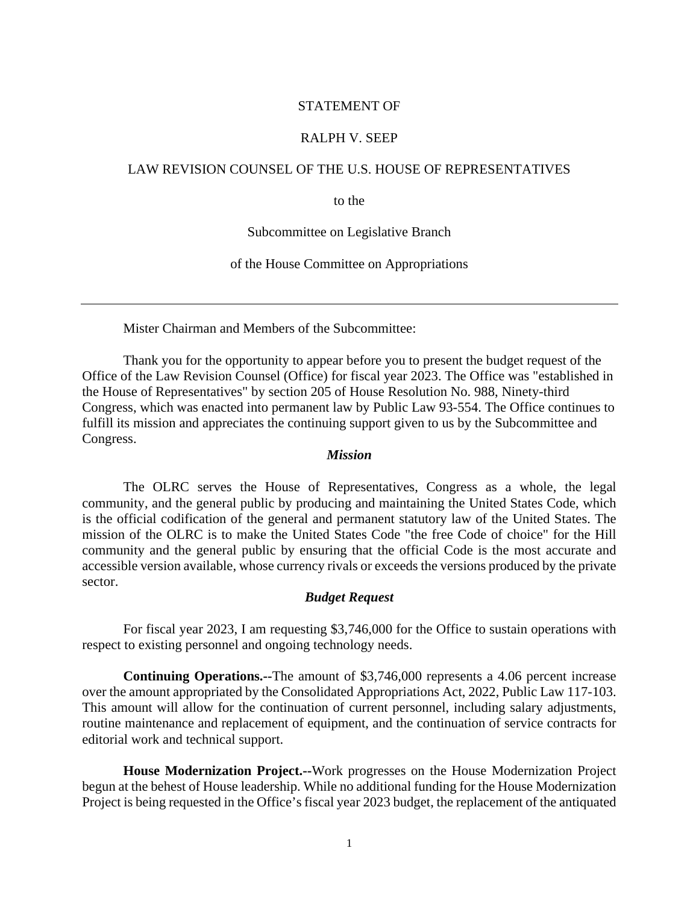## STATEMENT OF

## RALPH V. SEEP

## LAW REVISION COUNSEL OF THE U.S. HOUSE OF REPRESENTATIVES

to the

Subcommittee on Legislative Branch

of the House Committee on Appropriations

Mister Chairman and Members of the Subcommittee:

Thank you for the opportunity to appear before you to present the budget request of the Office of the Law Revision Counsel (Office) for fiscal year 2023. The Office was "established in the House of Representatives" by section 205 of House Resolution No. 988, Ninety-third Congress, which was enacted into permanent law by Public Law 93-554. The Office continues to fulfill its mission and appreciates the continuing support given to us by the Subcommittee and Congress.

# *Mission*

The OLRC serves the House of Representatives, Congress as a whole, the legal community, and the general public by producing and maintaining the United States Code, which is the official codification of the general and permanent statutory law of the United States. The mission of the OLRC is to make the United States Code "the free Code of choice" for the Hill community and the general public by ensuring that the official Code is the most accurate and accessible version available, whose currency rivals or exceeds the versions produced by the private sector.

## *Budget Request*

For fiscal year 2023, I am requesting \$3,746,000 for the Office to sustain operations with respect to existing personnel and ongoing technology needs.

**Continuing Operations.--**The amount of \$3,746,000 represents a 4.06 percent increase over the amount appropriated by the Consolidated Appropriations Act, 2022, Public Law 117-103. This amount will allow for the continuation of current personnel, including salary adjustments, routine maintenance and replacement of equipment, and the continuation of service contracts for editorial work and technical support.

 **House Modernization Project.--**Work progresses on the House Modernization Project begun at the behest of House leadership. While no additional funding for the House Modernization Project is being requested in the Office's fiscal year 2023 budget, the replacement of the antiquated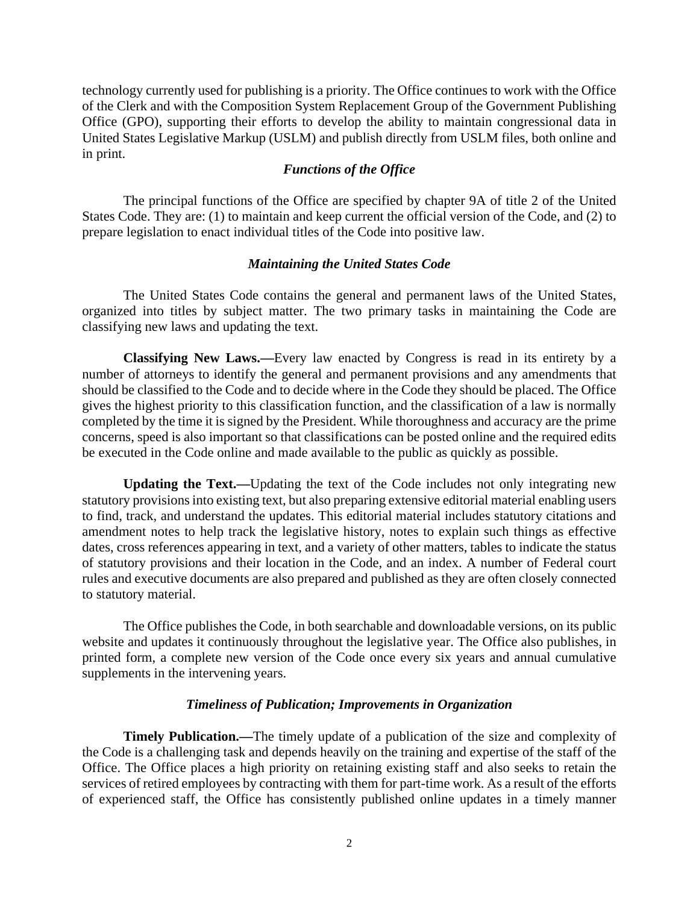technology currently used for publishing is a priority. The Office continues to work with the Office of the Clerk and with the Composition System Replacement Group of the Government Publishing Office (GPO), supporting their efforts to develop the ability to maintain congressional data in United States Legislative Markup (USLM) and publish directly from USLM files, both online and in print.

## *Functions of the Office*

The principal functions of the Office are specified by chapter 9A of title 2 of the United States Code. They are: (1) to maintain and keep current the official version of the Code, and (2) to prepare legislation to enact individual titles of the Code into positive law.

# *Maintaining the United States Code*

The United States Code contains the general and permanent laws of the United States, organized into titles by subject matter. The two primary tasks in maintaining the Code are classifying new laws and updating the text.

**Classifying New Laws.—**Every law enacted by Congress is read in its entirety by a number of attorneys to identify the general and permanent provisions and any amendments that should be classified to the Code and to decide where in the Code they should be placed. The Office gives the highest priority to this classification function, and the classification of a law is normally completed by the time it is signed by the President. While thoroughness and accuracy are the prime concerns, speed is also important so that classifications can be posted online and the required edits be executed in the Code online and made available to the public as quickly as possible.

**Updating the Text.—**Updating the text of the Code includes not only integrating new statutory provisions into existing text, but also preparing extensive editorial material enabling users to find, track, and understand the updates. This editorial material includes statutory citations and amendment notes to help track the legislative history, notes to explain such things as effective dates, cross references appearing in text, and a variety of other matters, tables to indicate the status of statutory provisions and their location in the Code, and an index. A number of Federal court rules and executive documents are also prepared and published as they are often closely connected to statutory material.

The Office publishes the Code, in both searchable and downloadable versions, on its public website and updates it continuously throughout the legislative year. The Office also publishes, in printed form, a complete new version of the Code once every six years and annual cumulative supplements in the intervening years.

### *Timeliness of Publication; Improvements in Organization*

**Timely Publication.—The timely update of a publication of the size and complexity of** the Code is a challenging task and depends heavily on the training and expertise of the staff of the Office. The Office places a high priority on retaining existing staff and also seeks to retain the services of retired employees by contracting with them for part-time work. As a result of the efforts of experienced staff, the Office has consistently published online updates in a timely manner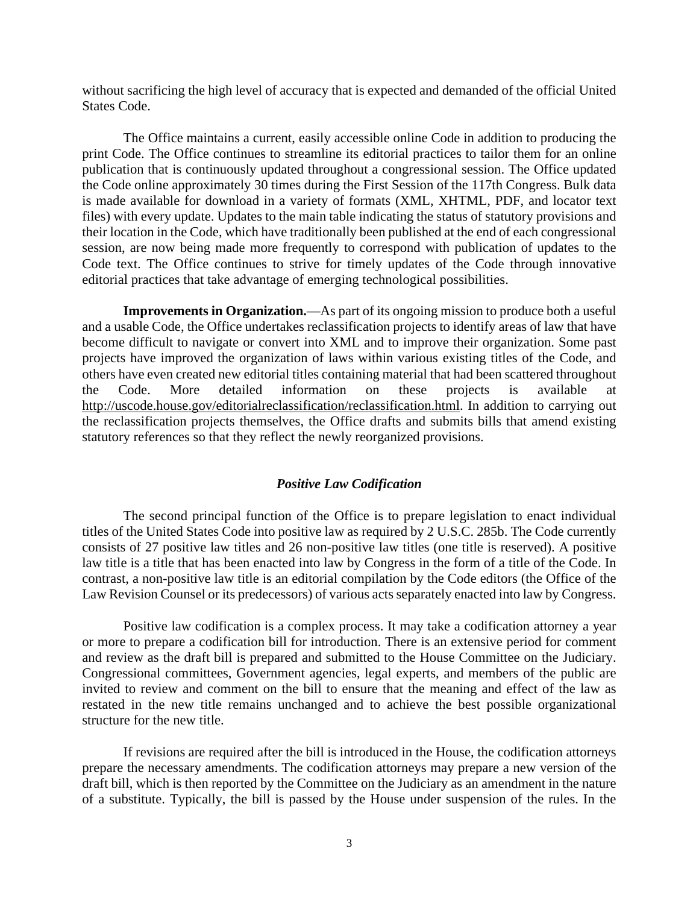without sacrificing the high level of accuracy that is expected and demanded of the official United States Code.

The Office maintains a current, easily accessible online Code in addition to producing the print Code. The Office continues to streamline its editorial practices to tailor them for an online publication that is continuously updated throughout a congressional session. The Office updated the Code online approximately 30 times during the First Session of the 117th Congress. Bulk data is made available for download in a variety of formats (XML, XHTML, PDF, and locator text files) with every update. Updates to the main table indicating the status of statutory provisions and their location in the Code, which have traditionally been published at the end of each congressional session, are now being made more frequently to correspond with publication of updates to the Code text. The Office continues to strive for timely updates of the Code through innovative editorial practices that take advantage of emerging technological possibilities.

**Improvements in Organization.**—As part of its ongoing mission to produce both a useful and a usable Code, the Office undertakes reclassification projects to identify areas of law that have become difficult to navigate or convert into XML and to improve their organization. Some past projects have improved the organization of laws within various existing titles of the Code, and others have even created new editorial titles containing material that had been scattered throughout the Code. More detailed information on these projects is available at [http://uscode.house.gov/editorialreclassification/reclassification.html.](http://uscode.house.gov/editorialreclassification/reclassification.html) In addition to carrying out the reclassification projects themselves, the Office drafts and submits bills that amend existing statutory references so that they reflect the newly reorganized provisions.

## *Positive Law Codification*

The second principal function of the Office is to prepare legislation to enact individual titles of the United States Code into positive law as required by 2 U.S.C. 285b. The Code currently consists of 27 positive law titles and 26 non-positive law titles (one title is reserved). A positive law title is a title that has been enacted into law by Congress in the form of a title of the Code. In contrast, a non-positive law title is an editorial compilation by the Code editors (the Office of the Law Revision Counsel or its predecessors) of various acts separately enacted into law by Congress.

Positive law codification is a complex process. It may take a codification attorney a year or more to prepare a codification bill for introduction. There is an extensive period for comment and review as the draft bill is prepared and submitted to the House Committee on the Judiciary. Congressional committees, Government agencies, legal experts, and members of the public are invited to review and comment on the bill to ensure that the meaning and effect of the law as restated in the new title remains unchanged and to achieve the best possible organizational structure for the new title.

If revisions are required after the bill is introduced in the House, the codification attorneys prepare the necessary amendments. The codification attorneys may prepare a new version of the draft bill, which is then reported by the Committee on the Judiciary as an amendment in the nature of a substitute. Typically, the bill is passed by the House under suspension of the rules. In the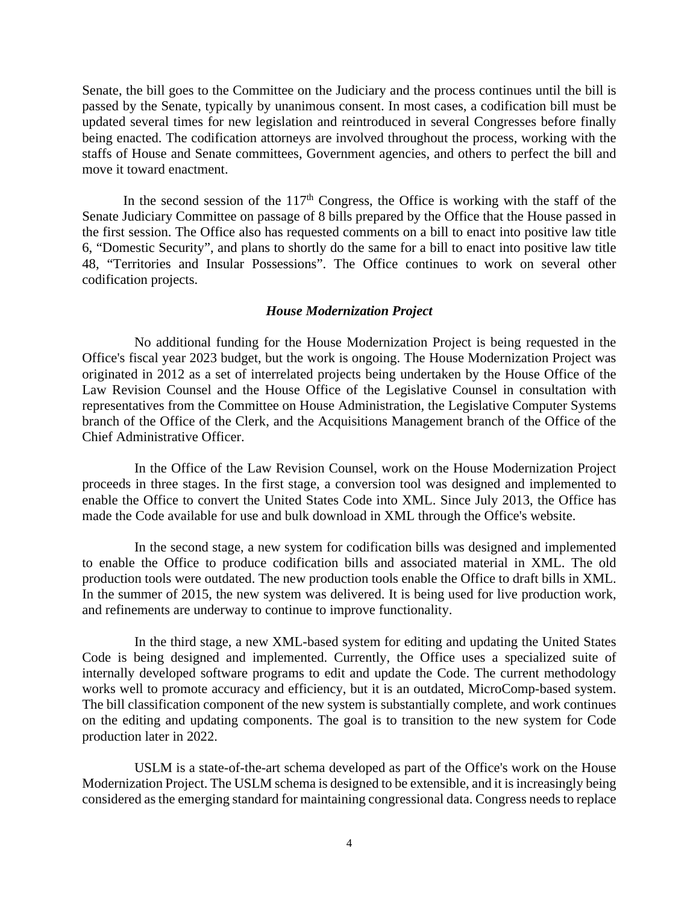Senate, the bill goes to the Committee on the Judiciary and the process continues until the bill is passed by the Senate, typically by unanimous consent. In most cases, a codification bill must be updated several times for new legislation and reintroduced in several Congresses before finally being enacted. The codification attorneys are involved throughout the process, working with the staffs of House and Senate committees, Government agencies, and others to perfect the bill and move it toward enactment.

In the second session of the  $117<sup>th</sup>$  Congress, the Office is working with the staff of the Senate Judiciary Committee on passage of 8 bills prepared by the Office that the House passed in the first session. The Office also has requested comments on a bill to enact into positive law title 6, "Domestic Security", and plans to shortly do the same for a bill to enact into positive law title 48, "Territories and Insular Possessions". The Office continues to work on several other codification projects.

#### *House Modernization Project*

No additional funding for the House Modernization Project is being requested in the Office's fiscal year 2023 budget, but the work is ongoing. The House Modernization Project was originated in 2012 as a set of interrelated projects being undertaken by the House Office of the Law Revision Counsel and the House Office of the Legislative Counsel in consultation with representatives from the Committee on House Administration, the Legislative Computer Systems branch of the Office of the Clerk, and the Acquisitions Management branch of the Office of the Chief Administrative Officer.

In the Office of the Law Revision Counsel, work on the House Modernization Project proceeds in three stages. In the first stage, a conversion tool was designed and implemented to enable the Office to convert the United States Code into XML. Since July 2013, the Office has made the Code available for use and bulk download in XML through the Office's website.

In the second stage, a new system for codification bills was designed and implemented to enable the Office to produce codification bills and associated material in XML. The old production tools were outdated. The new production tools enable the Office to draft bills in XML. In the summer of 2015, the new system was delivered. It is being used for live production work, and refinements are underway to continue to improve functionality.

In the third stage, a new XML-based system for editing and updating the United States Code is being designed and implemented. Currently, the Office uses a specialized suite of internally developed software programs to edit and update the Code. The current methodology works well to promote accuracy and efficiency, but it is an outdated, MicroComp-based system. The bill classification component of the new system is substantially complete, and work continues on the editing and updating components. The goal is to transition to the new system for Code production later in 2022.

USLM is a state-of-the-art schema developed as part of the Office's work on the House Modernization Project. The USLM schema is designed to be extensible, and it is increasingly being considered as the emerging standard for maintaining congressional data. Congress needs to replace